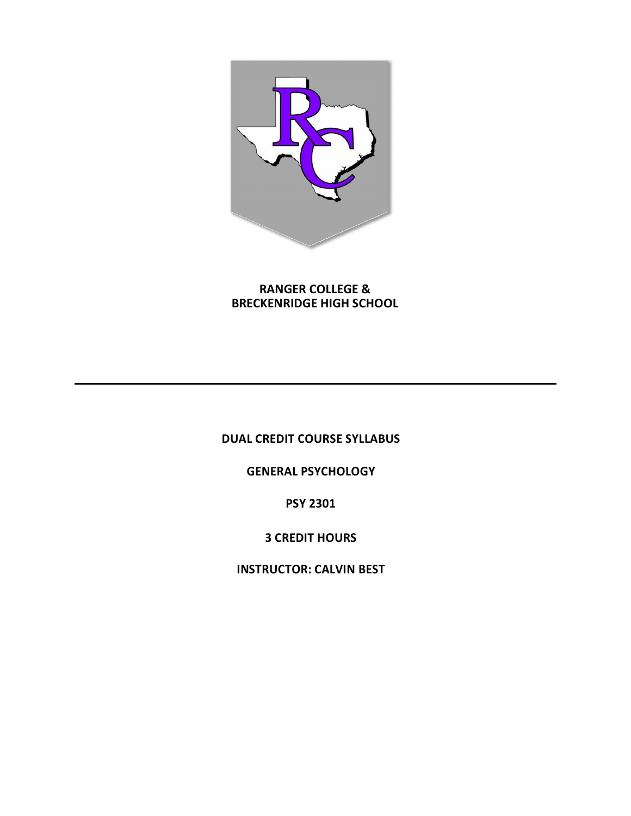

**RANGER COLLEGE & BRECKENRIDGE HIGH SCHOOL**

**DUAL CREDIT COURSE SYLLABUS** 

**GENERAL PSYCHOLOGY** 

**PSY 2301**

**3 CREDIT HOURS** 

**INSTRUCTOR: CALVIN BEST**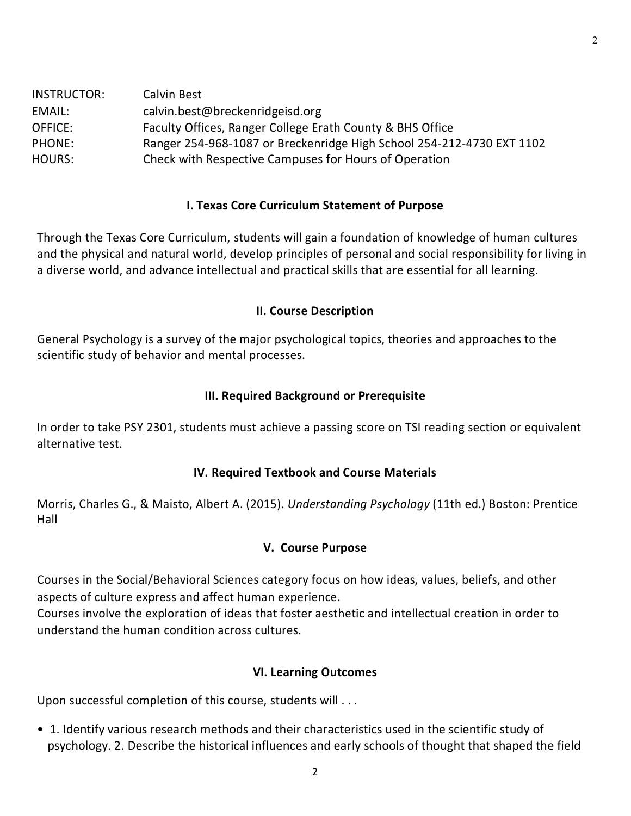| INSTRUCTOR: | Calvin Best                                                           |
|-------------|-----------------------------------------------------------------------|
| EMAIL:      | calvin.best@breckenridgeisd.org                                       |
| OFFICE:     | Faculty Offices, Ranger College Erath County & BHS Office             |
| PHONE:      | Ranger 254-968-1087 or Breckenridge High School 254-212-4730 EXT 1102 |
| HOURS:      | Check with Respective Campuses for Hours of Operation                 |

### **I. Texas Core Curriculum Statement of Purpose**

Through the Texas Core Curriculum, students will gain a foundation of knowledge of human cultures and the physical and natural world, develop principles of personal and social responsibility for living in a diverse world, and advance intellectual and practical skills that are essential for all learning.

### **II. Course Description**

General Psychology is a survey of the major psychological topics, theories and approaches to the scientific study of behavior and mental processes.

### **III. Required Background or Prerequisite**

In order to take PSY 2301, students must achieve a passing score on TSI reading section or equivalent alternative test.

## **IV. Required Textbook and Course Materials**

Morris, Charles G., & Maisto, Albert A. (2015). *Understanding Psychology* (11th ed.) Boston: Prentice Hall

### **V. Course Purpose**

Courses in the Social/Behavioral Sciences category focus on how ideas, values, beliefs, and other aspects of culture express and affect human experience.

Courses involve the exploration of ideas that foster aesthetic and intellectual creation in order to understand the human condition across cultures.

### **VI. Learning Outcomes**

Upon successful completion of this course, students will . . .

• 1. Identify various research methods and their characteristics used in the scientific study of psychology. 2. Describe the historical influences and early schools of thought that shaped the field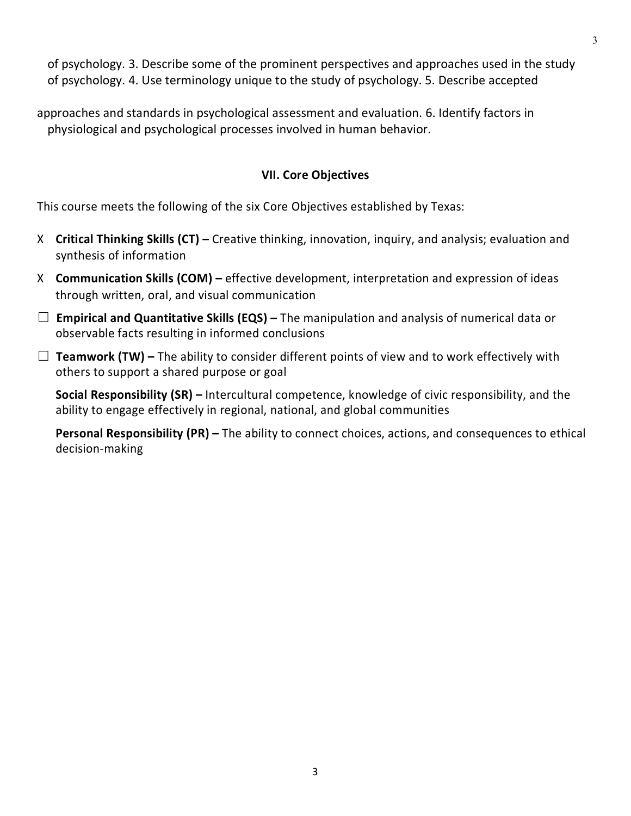of psychology. 3. Describe some of the prominent perspectives and approaches used in the study of psychology. 4. Use terminology unique to the study of psychology. 5. Describe accepted

approaches and standards in psychological assessment and evaluation. 6. Identify factors in physiological and psychological processes involved in human behavior.

### **VII. Core Objectives**

This course meets the following of the six Core Objectives established by Texas:

- X **Critical Thinking Skills (CT) –** Creative thinking, innovation, inquiry, and analysis; evaluation and synthesis of information
- X **Communication Skills (COM) –** effective development, interpretation and expression of ideas through written, oral, and visual communication
- ☐ **Empirical and Quantitative Skills (EQS) –** The manipulation and analysis of numerical data or observable facts resulting in informed conclusions
- $\Box$  **Teamwork (TW)** The ability to consider different points of view and to work effectively with others to support a shared purpose or goal

**Social Responsibility (SR) –** Intercultural competence, knowledge of civic responsibility, and the ability to engage effectively in regional, national, and global communities

**Personal Responsibility (PR) –** The ability to connect choices, actions, and consequences to ethical decision-making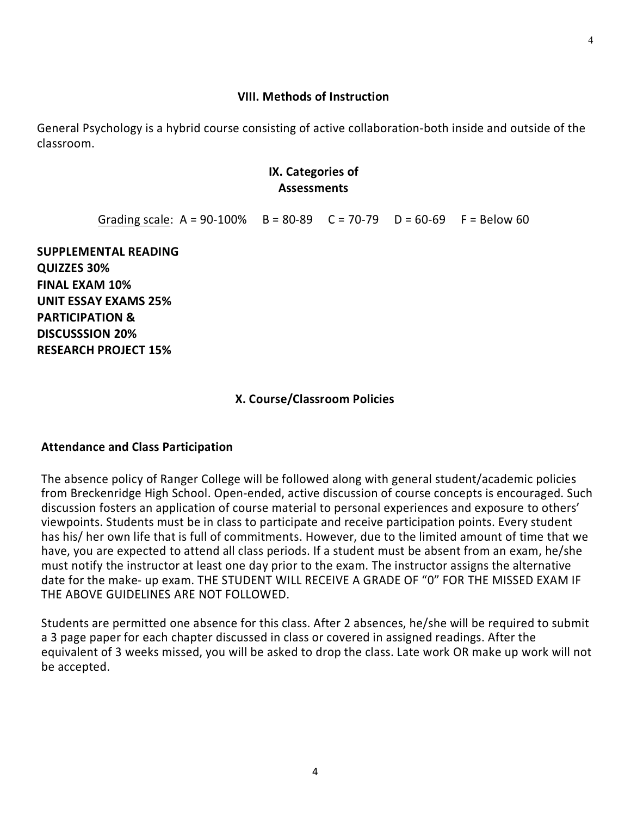# Students are permitted one absence for this class. After 2 absences, he/she will be required to submit a 3 page paper for each chapter discussed in class or covered in assigned readings. After the equivalent of 3 weeks missed, you will be asked to drop the class. Late work OR make up work will not be accepted.

### **VIII. Methods of Instruction**

General Psychology is a hybrid course consisting of active collaboration-both inside and outside of the classroom.

### **IX. Categories of Assessments**

Grading scale:  $A = 90-100\%$   $B = 80-89$   $C = 70-79$   $D = 60-69$   $F = Below 60$ 

**SUPPLEMENTAL READING QUIZZES 30% FINAL EXAM 10% UNIT ESSAY EXAMS 25% PARTICIPATION & DISCUSSSION 20% RESEARCH PROJECT 15%**

The absence policy of Ranger College will be followed along with general student/academic policies from Breckenridge High School. Open-ended, active discussion of course concepts is encouraged. Such discussion fosters an application of course material to personal experiences and exposure to others' viewpoints. Students must be in class to participate and receive participation points. Every student has his/ her own life that is full of commitments. However, due to the limited amount of time that we have, you are expected to attend all class periods. If a student must be absent from an exam, he/she must notify the instructor at least one day prior to the exam. The instructor assigns the alternative date for the make- up exam. THE STUDENT WILL RECEIVE A GRADE OF "0" FOR THE MISSED EXAM IF

### **Attendance and Class Participation**

THE ABOVE GUIDELINES ARE NOT FOLLOWED.

### **X. Course/Classroom Policies**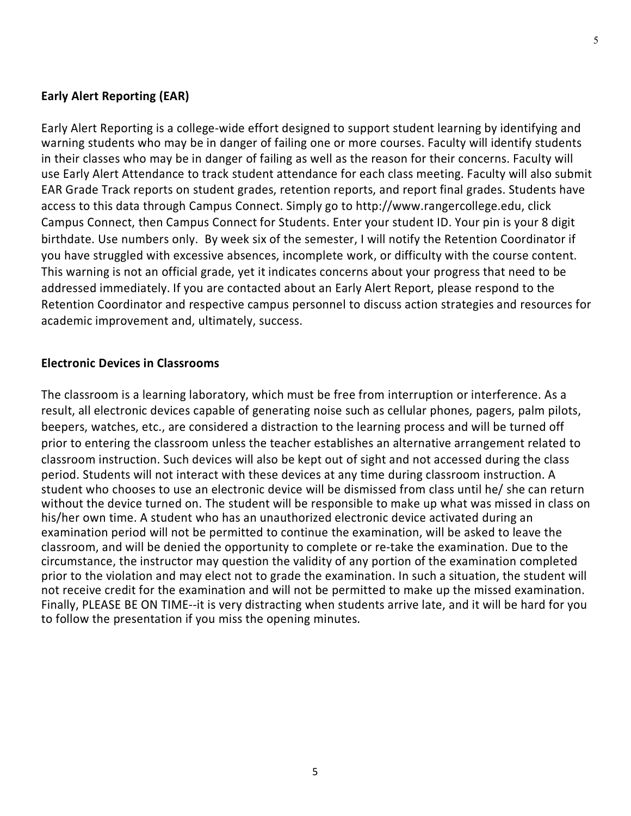### **Early Alert Reporting (EAR)**

Early Alert Reporting is a college-wide effort designed to support student learning by identifying and warning students who may be in danger of failing one or more courses. Faculty will identify students in their classes who may be in danger of failing as well as the reason for their concerns. Faculty will use Early Alert Attendance to track student attendance for each class meeting. Faculty will also submit EAR Grade Track reports on student grades, retention reports, and report final grades. Students have access to this data through Campus Connect. Simply go to http://www.rangercollege.edu, click Campus Connect, then Campus Connect for Students. Enter your student ID. Your pin is your 8 digit birthdate. Use numbers only. By week six of the semester, I will notify the Retention Coordinator if you have struggled with excessive absences, incomplete work, or difficulty with the course content. This warning is not an official grade, yet it indicates concerns about your progress that need to be addressed immediately. If you are contacted about an Early Alert Report, please respond to the Retention Coordinator and respective campus personnel to discuss action strategies and resources for academic improvement and, ultimately, success.

### **Electronic Devices in Classrooms**

The classroom is a learning laboratory, which must be free from interruption or interference. As a result, all electronic devices capable of generating noise such as cellular phones, pagers, palm pilots, beepers, watches, etc., are considered a distraction to the learning process and will be turned off prior to entering the classroom unless the teacher establishes an alternative arrangement related to classroom instruction. Such devices will also be kept out of sight and not accessed during the class period. Students will not interact with these devices at any time during classroom instruction. A student who chooses to use an electronic device will be dismissed from class until he/ she can return without the device turned on. The student will be responsible to make up what was missed in class on his/her own time. A student who has an unauthorized electronic device activated during an examination period will not be permitted to continue the examination, will be asked to leave the classroom, and will be denied the opportunity to complete or re-take the examination. Due to the circumstance, the instructor may question the validity of any portion of the examination completed prior to the violation and may elect not to grade the examination. In such a situation, the student will not receive credit for the examination and will not be permitted to make up the missed examination. Finally, PLEASE BE ON TIME--it is very distracting when students arrive late, and it will be hard for you to follow the presentation if you miss the opening minutes.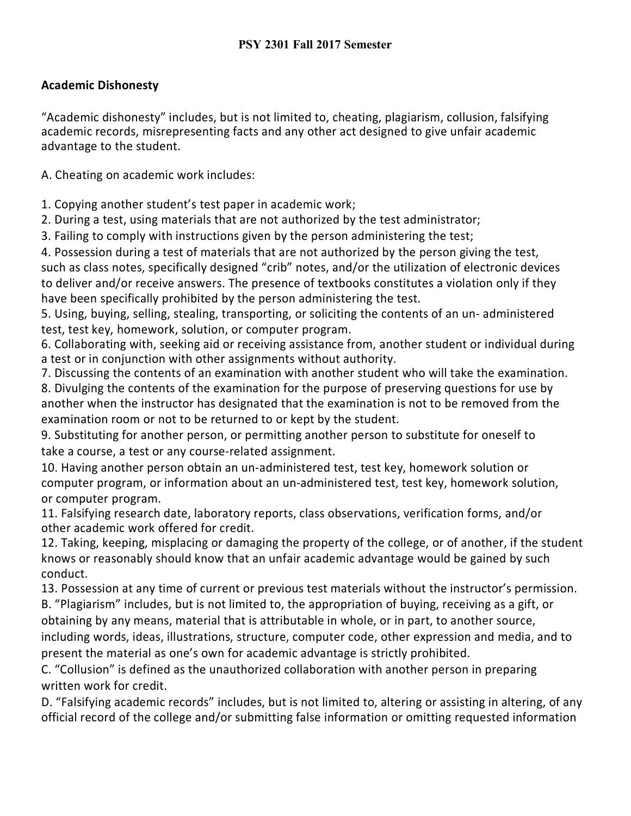## **Academic Dishonesty**

"Academic dishonesty" includes, but is not limited to, cheating, plagiarism, collusion, falsifying academic records, misrepresenting facts and any other act designed to give unfair academic advantage to the student.

A. Cheating on academic work includes:

1. Copying another student's test paper in academic work;

2. During a test, using materials that are not authorized by the test administrator;

3. Failing to comply with instructions given by the person administering the test;

4. Possession during a test of materials that are not authorized by the person giving the test, such as class notes, specifically designed "crib" notes, and/or the utilization of electronic devices to deliver and/or receive answers. The presence of textbooks constitutes a violation only if they have been specifically prohibited by the person administering the test.

5. Using, buying, selling, stealing, transporting, or soliciting the contents of an un- administered test, test key, homework, solution, or computer program.

6. Collaborating with, seeking aid or receiving assistance from, another student or individual during a test or in conjunction with other assignments without authority.

7. Discussing the contents of an examination with another student who will take the examination. 8. Divulging the contents of the examination for the purpose of preserving questions for use by

another when the instructor has designated that the examination is not to be removed from the examination room or not to be returned to or kept by the student.

9. Substituting for another person, or permitting another person to substitute for oneself to take a course, a test or any course-related assignment.

10. Having another person obtain an un-administered test, test key, homework solution or computer program, or information about an un-administered test, test key, homework solution, or computer program.

11. Falsifying research date, laboratory reports, class observations, verification forms, and/or other academic work offered for credit.

12. Taking, keeping, misplacing or damaging the property of the college, or of another, if the student knows or reasonably should know that an unfair academic advantage would be gained by such conduct.

13. Possession at any time of current or previous test materials without the instructor's permission.

B. "Plagiarism" includes, but is not limited to, the appropriation of buying, receiving as a gift, or obtaining by any means, material that is attributable in whole, or in part, to another source, including words, ideas, illustrations, structure, computer code, other expression and media, and to present the material as one's own for academic advantage is strictly prohibited.

C. "Collusion" is defined as the unauthorized collaboration with another person in preparing written work for credit.

D. "Falsifying academic records" includes, but is not limited to, altering or assisting in altering, of any official record of the college and/or submitting false information or omitting requested information